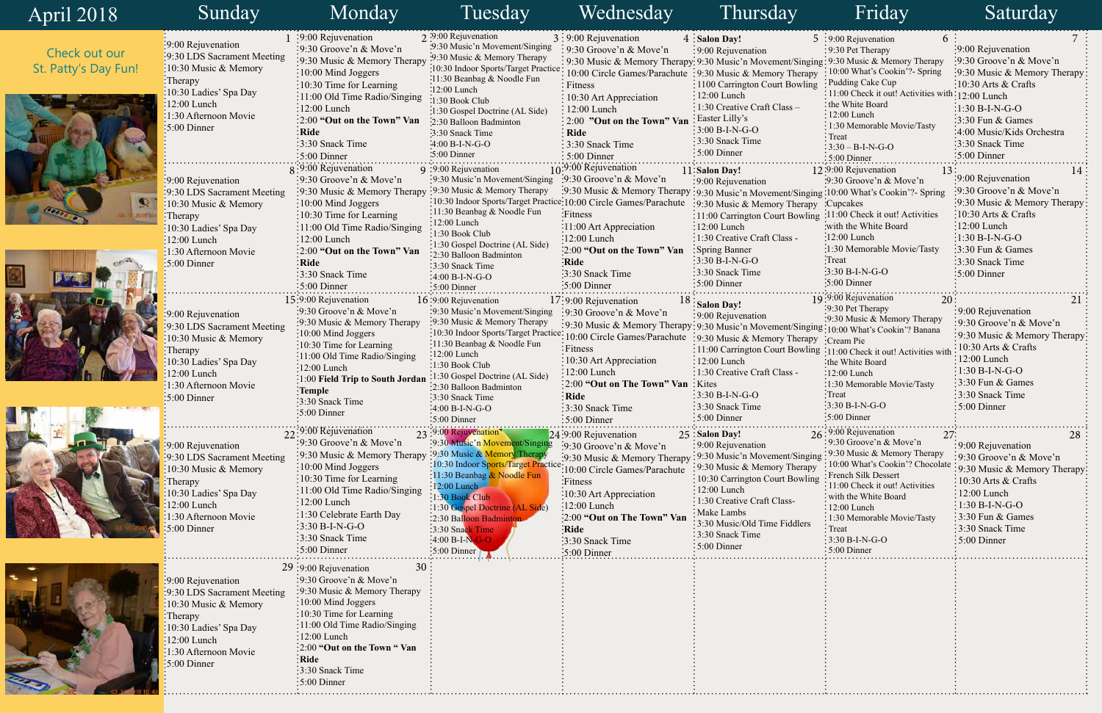|           | 5 :9:00 Rejuvenation                                          | 6   | 7<br>:9:00 Rejuvenation      |  |
|-----------|---------------------------------------------------------------|-----|------------------------------|--|
|           | 9:30 Pet Therapy<br>$\frac{1}{2}$ 9:30 Music & Memory Therapy |     | :9:30 Groove'n & Move'n      |  |
| ging      | 10:00 What's Cookin'?- Spring                                 |     | 9:30 Music & Memory Therapy  |  |
| pу<br>ng  | Pudding Cake Cup                                              |     | 10:30 Arts & Crafts          |  |
|           | 11:00 Check it out! Activities with:                          |     | 12:00 Lunch                  |  |
|           | the White Board                                               |     | <sup>:</sup> 1:30 B-I-N-G-O  |  |
|           | $: 12:00$ Lunch                                               |     | 3:30 Fun & Games             |  |
|           | 1:30 Memorable Movie/Tasty                                    |     | 4:00 Music/Kids Orchestra    |  |
|           | Treat                                                         |     | 3:30 Snack Time              |  |
|           | $3:30 - B-I-N-G-O$                                            |     | $\frac{1}{2}$ 5:00 Dinner    |  |
|           | $: 5:00$ Dinner<br>12:9:00 Rejuvenation                       |     |                              |  |
|           | :9:30 Groove'n & Move'n                                       | 13  | 14<br>9:00 Rejuvenation      |  |
|           | ging:10:00 What's Cookin'?- Spring                            |     | 9:30 Groove'n & Move'n       |  |
| py        | :Cupcakes                                                     |     | 9:30 Music & Memory Therapy  |  |
|           | ing: 11:00 Check it out! Activities                           |     | 10:30 Arts & Crafts          |  |
|           | with the White Board                                          |     | 12:00 Lunch                  |  |
|           | $-12:00$ Lunch                                                |     | $1:30 B-I-N-G-O$             |  |
|           | :1:30 Memorable Movie/Tasty                                   |     | 3:30 Fun & Games             |  |
|           | Treat <sup>:</sup>                                            |     | 3:30 Snack Time              |  |
|           | $3:30 B-I-N-G-O$                                              |     | 5:00 Dinner                  |  |
|           | :5:00 Dinner                                                  |     |                              |  |
|           | 19:9:00 Rejuvenation                                          | 20  | 21                           |  |
|           | 9:30 Pet Therapy                                              |     | 9:00 Rejuvenation            |  |
|           | :9:30 Music & Memory Therapy                                  |     | 9:30 Groove'n & Move'n       |  |
|           | 31ng:10:00 What's Cookin'? Banana                             |     | 9:30 Music & Memory Therapy  |  |
|           | PY :Cream Pie                                                 |     | 10:30 Arts & Crafts          |  |
|           | ing: 11:00 Check it out! Activities with                      |     | 12:00 Lunch                  |  |
|           | the White Board                                               |     | 1:30 B-I-N-G-O               |  |
|           | 12:00 Lunch                                                   |     | 3:30 Fun & Games             |  |
|           | :1:30 Memorable Movie/Tasty<br>$\cdot$ Treat                  |     | 3:30 Snack Time              |  |
|           | $3:30 B-I-N-G-O$                                              |     | 5:00 Dinner                  |  |
|           | 5:00 Dinner                                                   |     |                              |  |
|           |                                                               |     |                              |  |
|           | 26:9:00 Rejuvenation<br>9:30 Groove'n & Move'n                | 27: | 28                           |  |
|           | 9:30 Music & Memory Therapy                                   |     | 9:00 Rejuvenation            |  |
| şing      | 10:00 What's Cookin'? Chocolate                               |     | 9:30 Groove'n & Move'n       |  |
| pу<br>ing | French Silk Dessert                                           |     | 9:30 Music & Memory Therapy: |  |
|           | 11:00 Check it out! Activities                                |     | 10:30 Arts & Crafts          |  |
|           | with the White Board                                          |     | 12:00 Lunch                  |  |
|           | 12:00 Lunch                                                   |     | 1:30 B-I-N-G-O               |  |
|           | 1:30 Memorable Movie/Tasty                                    |     | 3:30 Fun & Games             |  |
|           | Treat                                                         |     | 3:30 Snack Time              |  |
|           | $3:30 B-I-N-G-O$<br>5:00 Dinner                               |     | 5:00 Dinner                  |  |
|           |                                                               |     |                              |  |
|           |                                                               |     |                              |  |
|           |                                                               |     |                              |  |
|           |                                                               |     |                              |  |
|           |                                                               |     |                              |  |
|           |                                                               |     |                              |  |
|           |                                                               |     |                              |  |
|           |                                                               |     |                              |  |
|           |                                                               |     |                              |  |
|           |                                                               |     |                              |  |
|           |                                                               |     |                              |  |
|           |                                                               |     |                              |  |
|           |                                                               |     |                              |  |

| April 2018                            | Sunday                                                                                                                                                                           | Monday                                                                                                                                                                                                                                                                                                                | Tuesday                                                                                                                                                                                                                                                                                                                                | Wednesday                                                                                                                                                                                                                                                                                 | Thursday                                                                                                                                                                                                                                                | Friday                                                                                                                                                                                                                                                                              | Saturday                                                                                                                                                                                                                                  |
|---------------------------------------|----------------------------------------------------------------------------------------------------------------------------------------------------------------------------------|-----------------------------------------------------------------------------------------------------------------------------------------------------------------------------------------------------------------------------------------------------------------------------------------------------------------------|----------------------------------------------------------------------------------------------------------------------------------------------------------------------------------------------------------------------------------------------------------------------------------------------------------------------------------------|-------------------------------------------------------------------------------------------------------------------------------------------------------------------------------------------------------------------------------------------------------------------------------------------|---------------------------------------------------------------------------------------------------------------------------------------------------------------------------------------------------------------------------------------------------------|-------------------------------------------------------------------------------------------------------------------------------------------------------------------------------------------------------------------------------------------------------------------------------------|-------------------------------------------------------------------------------------------------------------------------------------------------------------------------------------------------------------------------------------------|
| Check out our<br>St. Patty's Day Fun! | :9:00 Rejuvenation<br>:9:30 LDS Sacrament Meeting<br>$\frac{1}{2}10:30$ Music & Memory<br>$\cdot$ Therapy<br>10:30 Ladies' Spa Day                                               | $\div 9:00$ Rejuvenation<br>:9:30 Groove'n & Move'n<br>:9:30 Music & Memory Therapy<br>:10:00 Mind Joggers<br>$\frac{10:30}{10}$ Time for Learning                                                                                                                                                                    | 2.9:00 Rejuvenation<br>:9:30 Music'n Movement/Singing<br>.9:30 Music & Memory Therapy<br>:10:30 Indoor Sports/Target Practice:<br>:11:30 Beanbag & Noodle Fun<br>:12:00 Lunch                                                                                                                                                          | $3:9:00$ Rejuvenation<br>$\frac{1}{2}$ 9:30 Groove'n & Move'n<br>$\frac{1}{2}$ 9:30 Music & Memory Therapy 9:30 Music'n Movement/Singing 9:30 Music & Memory Therapy<br>10:00 Circle Games/Parachute : 9:30 Music & Memory Therapy<br>: Fitness                                           | 4 : Salon Day!<br>$\frac{1}{2}9:00$ Rejuvenation<br>:1100 Carrington Court Bowling                                                                                                                                                                      | 6 :<br>$5:9:00$ Rejuvenation<br>$: 9:30$ Pet Therapy<br>: 10:00 What's Cookin'? - Spring<br>: Pudding Cake Cup<br>$\frac{1}{2}$ 11:00 Check it out! Activities with                                                                                                                 | :9:00 Rejuvenation<br>$\frac{1}{2}$ 9:30 Groove'n & Move'n<br>:9:30 Music & Memory Therapy<br>$\frac{10:30 \text{ Arts}}{8}$ Crafts                                                                                                       |
|                                       | $\frac{1}{2}12:00$ Lunch<br>$:1:30$ Afternoon Movie<br>$\frac{1}{2}$ :00 Dinner                                                                                                  | :11:00 Old Time Radio/Singing<br>:12:00 Lunch<br>$\frac{1}{2}$ :00 "Out on the Town" Van<br>∶Ride<br>3:30 Snack Time<br>$\frac{1}{2}$ :00 Dinner                                                                                                                                                                      | $\cdot 1:30$ Book Club<br>1:30 Gospel Doctrine (AL Side)<br>:2:30 Balloon Badminton<br>:3:30 Snack Time<br>$4:00 B-I-N-G-O$<br>$\cdot 5:00$ Dinner                                                                                                                                                                                     | : 10:30 Art Appreciation<br>: 12:00 Lunch<br>: 2:00 "Out on the Town" Van<br>: Ride<br>: 3:30 Snack Time<br>$: 5:00$ Dinner                                                                                                                                                               | $:12:00$ Lunch<br>: 1:30 Creative Craft Class -<br>: Easter Lilly's<br>$:3:00 B-I-N-G-O$<br>:3:30 Snack Time<br>$\frac{1}{2}$ 5:00 Dinner                                                                                                               | the White Board<br>$\div 12:00$ Lunch<br>: 1:30 Memorable Movie/Tasty<br>: Treat<br>$\frac{1}{2}3:30 - B-I-N-G-O$<br>$\div$ 5:00 Dinner                                                                                                                                             | <sup>1th</sup> :12:00 Lunch<br>$-1:30 B-I-N-G-O$<br>$\frac{1}{2}$ :30 Fun & Games<br>:4:00 Music/Kids Orchestra<br>$\frac{1}{2}$ :30 Snack Time<br>$\frac{1}{2}$ :00 Dinner                                                               |
|                                       | :9:00 Rejuvenation<br>:9:30 LDS Sacrament Meeting<br>:10:30 Music $&$ Memory<br>:Therapy<br>:10:30 Ladies' Spa Day                                                               | $\mathbf{g}$ :9:00 Rejuvenation<br>:9:30 Groove'n & Move'n<br>:9:30 Music & Memory Therapy<br>:10:00 Mind Joggers<br>$\frac{1}{2}10:30$ Time for Learning<br>:11:00 Old Time Radio/Singing                                                                                                                            | 9 :9:00 Rejuvenation<br>:9:30 Music'n Movement/Singing<br>:9:30 Music & Memory Therapy<br>:10:30 Indoor Sports/Target Practice: 10:00 Circle Games/Parachute<br>:11:30 Beanbag & Noodle Fun<br>:12:00 Lunch<br>1:30 Book Club                                                                                                          | :9:00 Rejuvenation<br>$\therefore$ 9:30 Groove'n & Move'n<br>:9:30 Music & Memory Therapy : 9:30 Music'n Movement/Singing : 10:00 What's Cookin'?- Spring<br>:Fitness<br>:11:00 Art Appreciation                                                                                          | 11:Salon Day!<br>:9:00 Rejuvenation<br>:9:30 Music & Memory Therapy :Cupcakes<br>:11:00 Carrington Court Bowling :11:00 Check it out! Activities<br>$: 12:00$ Lunch                                                                                     | 12:9:00 Rejuvenation<br>:9:30 Groove'n & Move'n<br>with the White Board                                                                                                                                                                                                             | :9:00 Rejuvenation<br>$\frac{1}{2}9:30$ Groove'n & Move'n<br>:9:30 Music & Memory Therapy<br>10:30 Arts & Crafts<br>$\frac{1}{2}12:00$ Lunch                                                                                              |
|                                       | $:12:00$ Lunch<br>:1:30 Afternoon Movie<br>$\cdot$ 5:00 Dinner                                                                                                                   | $:12:00$ Lunch<br>$\frac{1}{2}$ :00 "Out on the Town" Van<br>$:$ Ride<br>$\frac{1}{2}$ :30 Snack Time<br>$\frac{1}{2}$ :00 Dinner                                                                                                                                                                                     | :1:30 Gospel Doctrine (AL Side)<br>:2:30 Balloon Badminton<br>:3:30 Snack Time<br>$4:00 B-I-N-G-O$<br>$:5:00$ Dinner                                                                                                                                                                                                                   | :12:00 Lunch<br>:2:00 "Out on the Town" Van<br>:Ride<br>:3:30 Snack Time<br>:5:00 Dinner                                                                                                                                                                                                  | $\frac{1}{2}$ 1:30 Creative Craft Class -<br>Spring Banner<br>$:3:30 B-I-N-G-O$<br>:3:30 Snack Time<br>$:5:00$ Dinner                                                                                                                                   | $\frac{1}{2}12:00$ Lunch<br>:1:30 Memorable Movie/Tasty<br><b>Treat</b><br>$3:30 B-I-N-G-O$<br>$:5:00$ Dinner<br>19:9:00 Rejuvenation                                                                                                                                               | $\frac{1}{2}1:30 B-I-N-G-O$<br>$\frac{1}{2}$ :30 Fun & Games<br>:3:30 Snack Time<br>$\frac{1}{2}$ 5:00 Dinner                                                                                                                             |
|                                       | :9:00 Rejuvenation<br>9:30 LDS Sacrament Meeting<br>10:30 Music & Memory<br>Therapy<br>10:30 Ladies' Spa Day<br>12:00 Lunch<br>1:30 Afternoon Movie                              | 15:9:00 Rejuvenation<br>:9:30 Groove'n & Move'n<br>:9:30 Music & Memory Therapy<br>:10:00 Mind Joggers<br>$:10:30$ Time for Learning<br>:11:00 Old Time Radio/Singing<br>$\frac{1}{2}12:00$ Lunch<br>1:00 Field Trip to South Jordan<br>:Temple                                                                       | $16:9:00$ Rejuvenation<br>:9:30 Music'n Movement/Singing<br>:9:30 Music & Memory Therapy<br>:10:30 Indoor Sports/Target Practice: 10:00 Circle Games/Parachute: 9:30 Music & Memory Therapy<br>:11:30 Beanbag & Noodle Fun<br>$\frac{12:00}{2}$ Lunch<br>:1:30 Book Club<br>:1:30 Gospel Doctrine (AL Side)<br>:2:30 Balloon Badminton | 17:9:00 Rejuvenation<br>:9:30 Groove'n $& Move'n$<br>: 9:30 Music & Memory Therapy: 9:30 Music'n Movement/Singing: 10:00 What's Cookin'? Banana<br>∶Fitness<br>$\frac{1}{2}10:30$ Art Appreciation<br>$\frac{12:00}{2}$ Lunch<br>:2:00 "Out on The Town" Van: Kites<br>$\frac{1}{2}$ Ride | $\frac{18}{18}$ : Salon Day!<br>:9:00 Rejuvenation<br>: 11:00 Carrington Court Bowling : 11:00 Check it out! Activities wit<br>$: 12:00$ Lunch<br>: 1:30 Creative Craft Class -<br>$:3:30 B-I-N-G-O$                                                    | 20:<br>$\frac{1}{2}9:30$ Pet Therapy<br>:9:30 Music & Memory Therapy<br>:Cream Pie<br>ithe White Board<br>:12:00 Lunch<br>:1:30 Memorable Movie/Tasty<br>$\frac{1}{2}$ Treat                                                                                                        | :9:00 Rejuvenation<br>:9:30 Groove'n & Move'n<br>:9:30 Music & Memory Therapy<br>$10:30$ Arts & Crafts<br>$\frac{12:00 \text{ Lunch}}{2}$<br>$\frac{1}{2}1:30 B-I-N-G-O$<br>$\frac{1}{2}$ 3:30 Fun & Games<br>:3:30 Snack Time            |
|                                       | $\frac{1}{2}$ :00 Dinner<br>:9:00 Rejuvenation                                                                                                                                   | :3:30 Snack Time<br>:5:00 Dinner<br>$22:9:00$ Rejuvenation<br>:9:30 Groove'n $& \text{Move'}n$                                                                                                                                                                                                                        | 3:30 Snack Time<br>:4:00 B-I-N-G-O<br>$:5:00$ Dinner<br>23:9:00 Rejuvenation<br>:9:30 Music'n Movement/Singin                                                                                                                                                                                                                          | $\frac{1}{2}$ 3:30 Snack Time<br>$\frac{1}{2}$ :00 Dinner<br>$24:9:00$ Rejuvenation<br>:9:30 Groove'n & Move'n                                                                                                                                                                            | $\frac{1}{2}$ 3:30 Snack Time<br>$\div 5:00$ Dinner<br>25 : Salon Day!<br>: 9:00 Rejuvenation                                                                                                                                                           | $\frac{1}{2}3.30 B-I-N-G-O$<br>:5:00 Dinner<br>$26:9:00$ Rejuvenation<br>$\frac{1}{2}$ 9:30 Groove'n & Move'n                                                                                                                                                                       | $\frac{1}{2}$ 5:00 Dinner<br>28<br>$\frac{1}{2}9.00$ Rejuvenation                                                                                                                                                                         |
|                                       | :9:30 LDS Sacrament Meeting<br>10:30 Music & Memory<br>Therapy<br>10:30 Ladies' Spa Day<br>12:00 Lunch<br>1:30 Afternoon Movie<br>5:00 Dinner                                    | :9:30 Music $&$ Memory Therapy<br>$:10:00$ Mind Joggers<br>$\frac{1}{2}$ 10:30 Time for Learning<br>:11:00 Old Time Radio/Singing<br>:12:00 Lunch<br>:1:30 Celebrate Earth Day<br>$:3:30 B-I-N-G-O$<br>:3:30 Snack Time<br>$:5:00$ Dinner                                                                             | :9:30 Music & Memory Therapy<br>:10:30 Indoor Sports/Target Practice: 10:00 Circle Games/Parachute<br>:11:30 Beanbag & Noodle Fun<br>:12:00 Lunch<br>1:30 Book Club<br>:1:30 Gospel Doctrine (AL Side)<br>:2:30 Balloon Badmintor<br>:3:30 Snack Time<br>$:4:00 B-I-N-G-O$<br>$\frac{1}{2}5:00$ Dinner                                 | :9:30 Music & Memory Therapy<br>:Fitness<br>$\frac{10:30 \text{ Art}\,\text{Appreciation}}{}$<br>$\frac{12:00}{12:00}$ Lunch<br>:2:00 "Out on The Town" Van<br>$\frac{1}{2}$ Ride<br>:3:30 Snack Time<br>$\frac{1}{2}$ 5:00 Dinner                                                        | :9:30 Music'n Movement/Singing<br>:9:30 Music & Memory Therapy<br>: 10:30 Carrington Court Bowling<br>$: 12:00$ Lunch<br>$\frac{1}{2}$ 1:30 Creative Craft Class-<br>Make Lambs<br>: 3:30 Music/Old Time Fiddlers<br>:3:30 Snack Time<br>$:5:00$ Dinner | $\frac{1}{2}$ 9:30 Music & Memory Therapy<br>10:00 What's Cookin'? Chocolate<br>: French Silk Dessert<br>11:00 Check it out! Activities<br>with the White Board<br>$: 12:00$ Lunch<br>: 1:30 Memorable Movie/Tasty<br>: Treat<br>$\frac{1}{2}$ 3:30 B-I-N-G-O<br>$\div$ 5:00 Dinner | :9:30 Groove'n & Move'n<br>:9:30 Music & Memory Therapy<br>$\frac{1}{2}10:30$ Arts & Crafts<br>$\frac{1}{2}12:00$ Lunch<br>$\frac{1}{2}1:30 B-I-N-G-O$<br>$\frac{1}{2}$ 3:30 Fun & Games<br>:3:30 Snack Time<br>$\frac{1}{2}$ 5:00 Dinner |
|                                       | :9:00 Rejuvenation<br>:9:30 LDS Sacrament Meeting<br>$\frac{1}{2}10:30$ Music & Memory<br>Therapy<br>10:30 Ladies' Spa Day<br>12:00 Lunch<br>1:30 Afternoon Movie<br>5:00 Dinner | 29:9:00 Rejuvenation<br>30<br>:9:30 Groove'n $& \text{Move'}n$<br>:9:30 Music & Memory Therapy<br>$\frac{1}{2}10:00$ Mind Joggers<br>$\frac{1}{2}10:30$ Time for Learning<br>:11:00 Old Time Radio/Singing<br>:12:00 Lunch<br>:2:00 "Out on the Town " Van<br>: Ride<br>:3:30 Snack Time<br>$\frac{1}{2}$ 5:00 Dinner |                                                                                                                                                                                                                                                                                                                                        |                                                                                                                                                                                                                                                                                           |                                                                                                                                                                                                                                                         |                                                                                                                                                                                                                                                                                     |                                                                                                                                                                                                                                           |